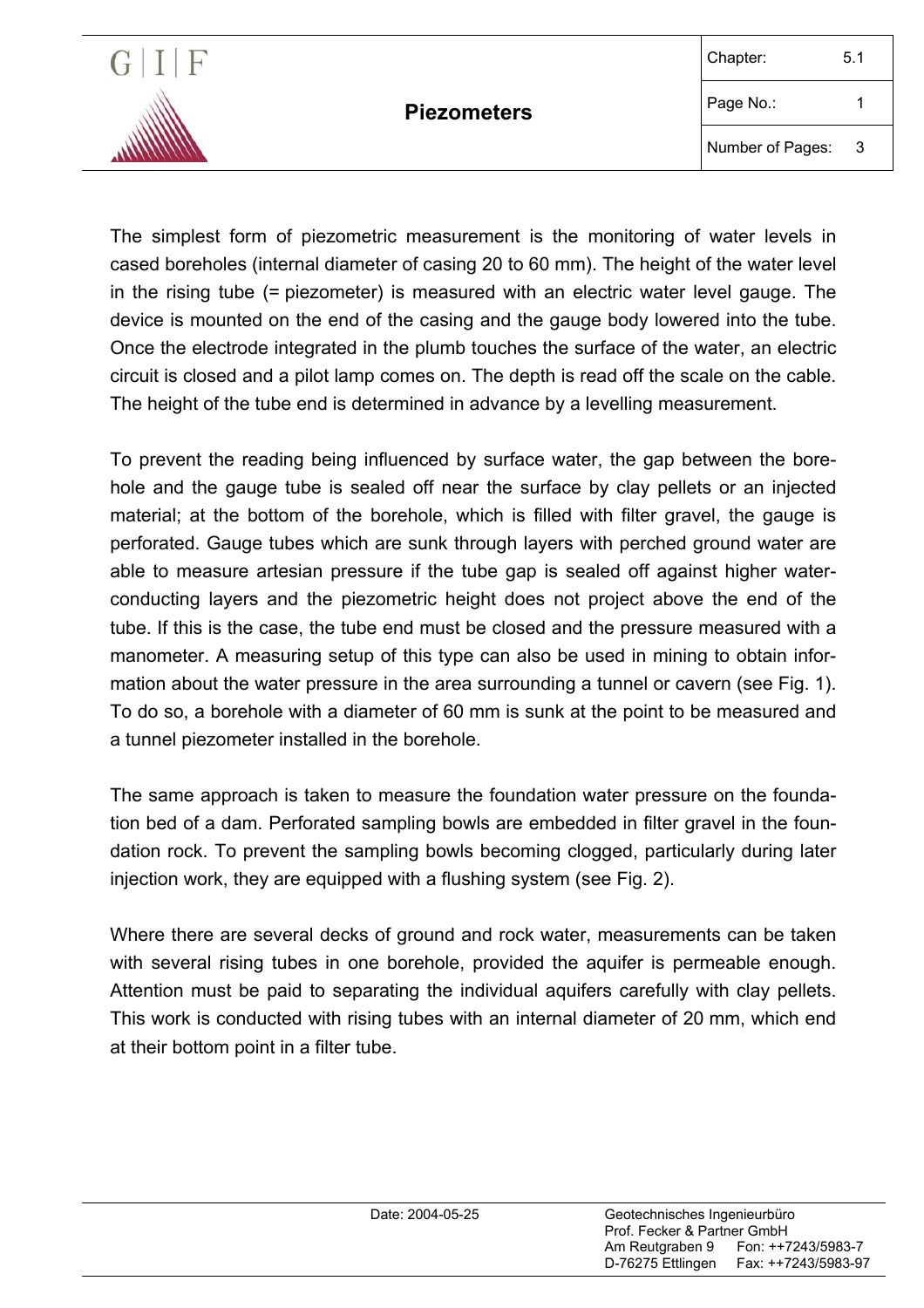

The simplest form of piezometric measurement is the monitoring of water levels in cased boreholes (internal diameter of casing 20 to 60 mm). The height of the water level in the rising tube (= piezometer) is measured with an electric water level gauge. The device is mounted on the end of the casing and the gauge body lowered into the tube. Once the electrode integrated in the plumb touches the surface of the water, an electric circuit is closed and a pilot lamp comes on. The depth is read off the scale on the cable. The height of the tube end is determined in advance by a levelling measurement.

To prevent the reading being influenced by surface water, the gap between the borehole and the gauge tube is sealed off near the surface by clay pellets or an injected material; at the bottom of the borehole, which is filled with filter gravel, the gauge is perforated. Gauge tubes which are sunk through layers with perched ground water are able to measure artesian pressure if the tube gap is sealed off against higher waterconducting layers and the piezometric height does not project above the end of the tube. If this is the case, the tube end must be closed and the pressure measured with a manometer. A measuring setup of this type can also be used in mining to obtain information about the water pressure in the area surrounding a tunnel or cavern (see Fig. 1). To do so, a borehole with a diameter of 60 mm is sunk at the point to be measured and a tunnel piezometer installed in the borehole.

The same approach is taken to measure the foundation water pressure on the foundation bed of a dam. Perforated sampling bowls are embedded in filter gravel in the foundation rock. To prevent the sampling bowls becoming clogged, particularly during later injection work, they are equipped with a flushing system (see Fig. 2).

Where there are several decks of ground and rock water, measurements can be taken with several rising tubes in one borehole, provided the aquifer is permeable enough. Attention must be paid to separating the individual aquifers carefully with clay pellets. This work is conducted with rising tubes with an internal diameter of 20 mm, which end at their bottom point in a filter tube.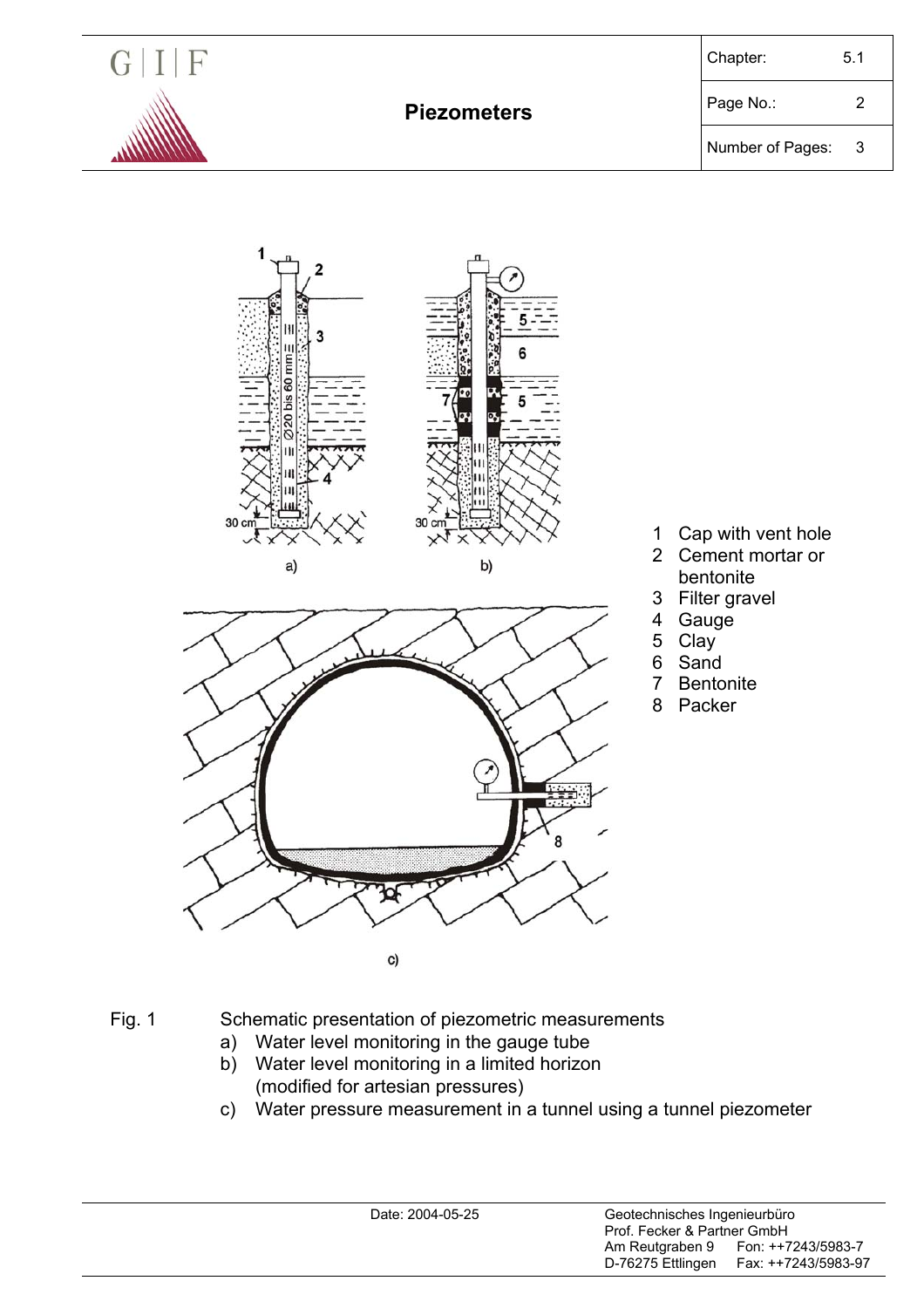

Number of Pages: 3



Fig. 1 Schematic presentation of piezometric measurements

- a) Water level monitoring in the gauge tube
- b) Water level monitoring in a limited horizon (modified for artesian pressures)
- c) Water pressure measurement in a tunnel using a tunnel piezometer